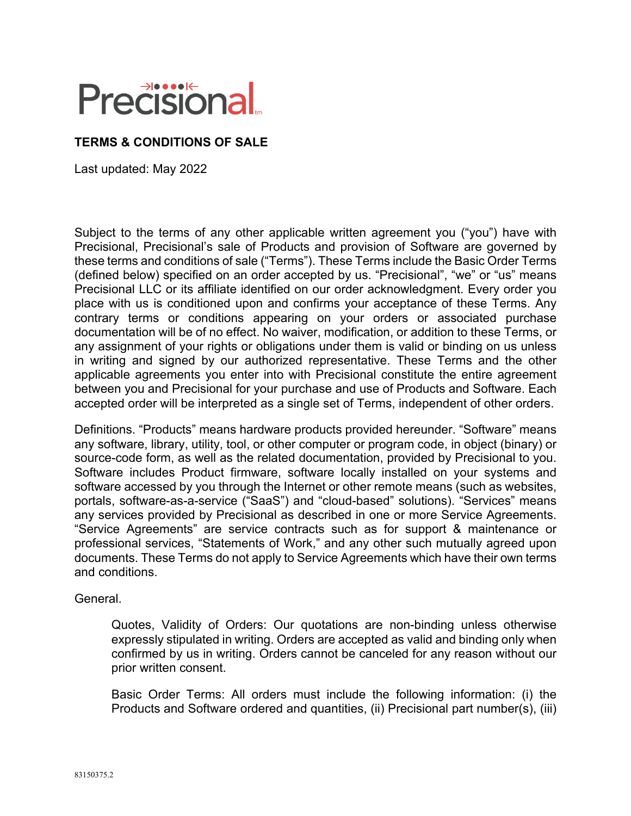# **Precisional**

## **TERMS & CONDITIONS OF SALE**

Last updated: May 2022

Subject to the terms of any other applicable written agreement you ("you") have with Precisional, Precisional's sale of Products and provision of Software are governed by these terms and conditions of sale ("Terms"). These Terms include the Basic Order Terms (defined below) specified on an order accepted by us. "Precisional", "we" or "us" means Precisional LLC or its affiliate identified on our order acknowledgment. Every order you place with us is conditioned upon and confirms your acceptance of these Terms. Any contrary terms or conditions appearing on your orders or associated purchase documentation will be of no effect. No waiver, modification, or addition to these Terms, or any assignment of your rights or obligations under them is valid or binding on us unless in writing and signed by our authorized representative. These Terms and the other applicable agreements you enter into with Precisional constitute the entire agreement between you and Precisional for your purchase and use of Products and Software. Each accepted order will be interpreted as a single set of Terms, independent of other orders.

Definitions. "Products" means hardware products provided hereunder. "Software" means any software, library, utility, tool, or other computer or program code, in object (binary) or source-code form, as well as the related documentation, provided by Precisional to you. Software includes Product firmware, software locally installed on your systems and software accessed by you through the Internet or other remote means (such as websites, portals, software-as-a-service ("SaaS") and "cloud-based" solutions). "Services" means any services provided by Precisional as described in one or more Service Agreements. "Service Agreements" are service contracts such as for support & maintenance or professional services, "Statements of Work," and any other such mutually agreed upon documents. These Terms do not apply to Service Agreements which have their own terms and conditions.

General.

Quotes, Validity of Orders: Our quotations are non-binding unless otherwise expressly stipulated in writing. Orders are accepted as valid and binding only when confirmed by us in writing. Orders cannot be canceled for any reason without our prior written consent.

Basic Order Terms: All orders must include the following information: (i) the Products and Software ordered and quantities, (ii) Precisional part number(s), (iii)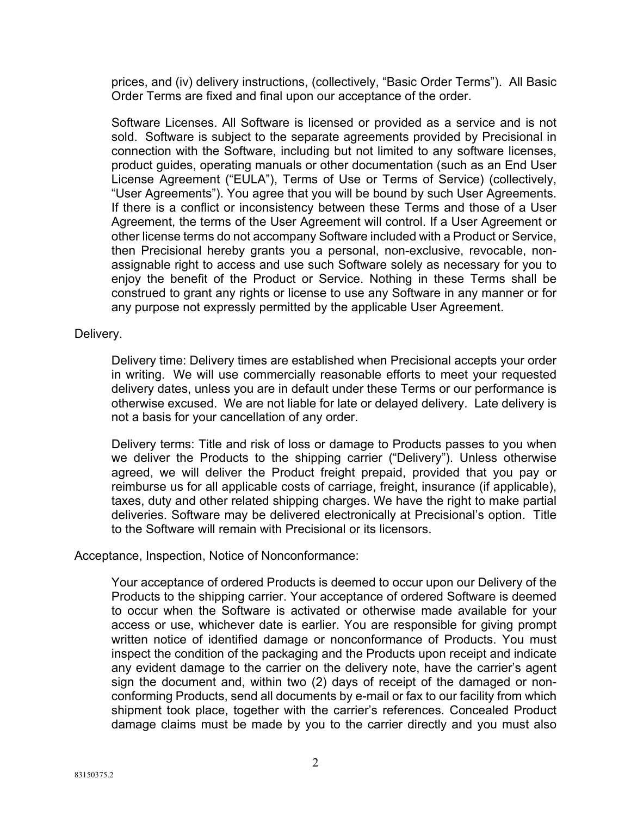prices, and (iv) delivery instructions, (collectively, "Basic Order Terms"). All Basic Order Terms are fixed and final upon our acceptance of the order.

Software Licenses. All Software is licensed or provided as a service and is not sold. Software is subject to the separate agreements provided by Precisional in connection with the Software, including but not limited to any software licenses, product guides, operating manuals or other documentation (such as an End User License Agreement ("EULA"), Terms of Use or Terms of Service) (collectively, "User Agreements"). You agree that you will be bound by such User Agreements. If there is a conflict or inconsistency between these Terms and those of a User Agreement, the terms of the User Agreement will control. If a User Agreement or other license terms do not accompany Software included with a Product or Service, then Precisional hereby grants you a personal, non-exclusive, revocable, nonassignable right to access and use such Software solely as necessary for you to enjoy the benefit of the Product or Service. Nothing in these Terms shall be construed to grant any rights or license to use any Software in any manner or for any purpose not expressly permitted by the applicable User Agreement.

#### Delivery.

Delivery time: Delivery times are established when Precisional accepts your order in writing. We will use commercially reasonable efforts to meet your requested delivery dates, unless you are in default under these Terms or our performance is otherwise excused. We are not liable for late or delayed delivery. Late delivery is not a basis for your cancellation of any order.

Delivery terms: Title and risk of loss or damage to Products passes to you when we deliver the Products to the shipping carrier ("Delivery"). Unless otherwise agreed, we will deliver the Product freight prepaid, provided that you pay or reimburse us for all applicable costs of carriage, freight, insurance (if applicable), taxes, duty and other related shipping charges. We have the right to make partial deliveries. Software may be delivered electronically at Precisional's option. Title to the Software will remain with Precisional or its licensors.

### Acceptance, Inspection, Notice of Nonconformance:

Your acceptance of ordered Products is deemed to occur upon our Delivery of the Products to the shipping carrier. Your acceptance of ordered Software is deemed to occur when the Software is activated or otherwise made available for your access or use, whichever date is earlier. You are responsible for giving prompt written notice of identified damage or nonconformance of Products. You must inspect the condition of the packaging and the Products upon receipt and indicate any evident damage to the carrier on the delivery note, have the carrier's agent sign the document and, within two (2) days of receipt of the damaged or nonconforming Products, send all documents by e-mail or fax to our facility from which shipment took place, together with the carrier's references. Concealed Product damage claims must be made by you to the carrier directly and you must also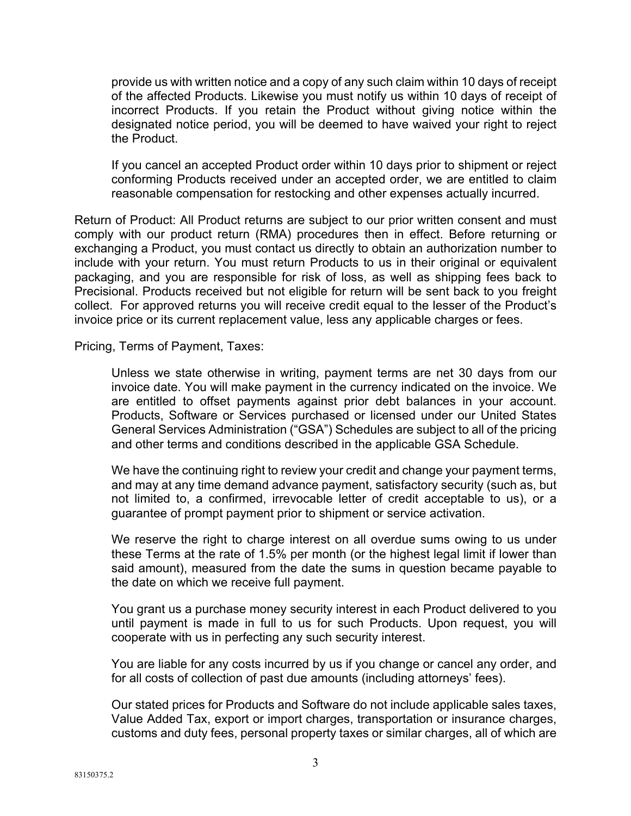provide us with written notice and a copy of any such claim within 10 days of receipt of the affected Products. Likewise you must notify us within 10 days of receipt of incorrect Products. If you retain the Product without giving notice within the designated notice period, you will be deemed to have waived your right to reject the Product.

If you cancel an accepted Product order within 10 days prior to shipment or reject conforming Products received under an accepted order, we are entitled to claim reasonable compensation for restocking and other expenses actually incurred.

Return of Product: All Product returns are subject to our prior written consent and must comply with our product return (RMA) procedures then in effect. Before returning or exchanging a Product, you must contact us directly to obtain an authorization number to include with your return. You must return Products to us in their original or equivalent packaging, and you are responsible for risk of loss, as well as shipping fees back to Precisional. Products received but not eligible for return will be sent back to you freight collect. For approved returns you will receive credit equal to the lesser of the Product's invoice price or its current replacement value, less any applicable charges or fees.

Pricing, Terms of Payment, Taxes:

Unless we state otherwise in writing, payment terms are net 30 days from our invoice date. You will make payment in the currency indicated on the invoice. We are entitled to offset payments against prior debt balances in your account. Products, Software or Services purchased or licensed under our United States General Services Administration ("GSA") Schedules are subject to all of the pricing and other terms and conditions described in the applicable GSA Schedule.

We have the continuing right to review your credit and change your payment terms, and may at any time demand advance payment, satisfactory security (such as, but not limited to, a confirmed, irrevocable letter of credit acceptable to us), or a guarantee of prompt payment prior to shipment or service activation.

We reserve the right to charge interest on all overdue sums owing to us under these Terms at the rate of 1.5% per month (or the highest legal limit if lower than said amount), measured from the date the sums in question became payable to the date on which we receive full payment.

You grant us a purchase money security interest in each Product delivered to you until payment is made in full to us for such Products. Upon request, you will cooperate with us in perfecting any such security interest.

You are liable for any costs incurred by us if you change or cancel any order, and for all costs of collection of past due amounts (including attorneys' fees).

Our stated prices for Products and Software do not include applicable sales taxes, Value Added Tax, export or import charges, transportation or insurance charges, customs and duty fees, personal property taxes or similar charges, all of which are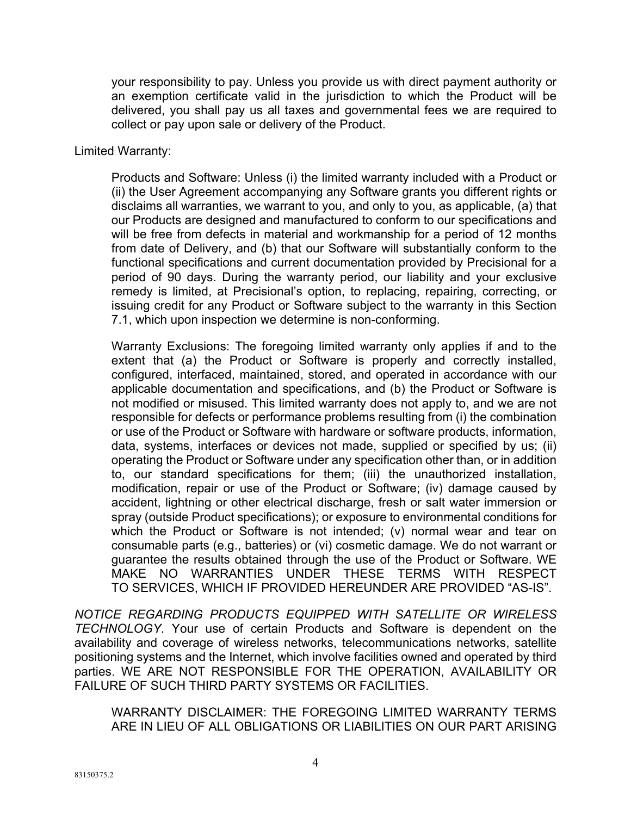your responsibility to pay. Unless you provide us with direct payment authority or an exemption certificate valid in the jurisdiction to which the Product will be delivered, you shall pay us all taxes and governmental fees we are required to collect or pay upon sale or delivery of the Product.

#### Limited Warranty:

Products and Software: Unless (i) the limited warranty included with a Product or (ii) the User Agreement accompanying any Software grants you different rights or disclaims all warranties, we warrant to you, and only to you, as applicable, (a) that our Products are designed and manufactured to conform to our specifications and will be free from defects in material and workmanship for a period of 12 months from date of Delivery, and (b) that our Software will substantially conform to the functional specifications and current documentation provided by Precisional for a period of 90 days. During the warranty period, our liability and your exclusive remedy is limited, at Precisional's option, to replacing, repairing, correcting, or issuing credit for any Product or Software subject to the warranty in this Section 7.1, which upon inspection we determine is non-conforming.

Warranty Exclusions: The foregoing limited warranty only applies if and to the extent that (a) the Product or Software is properly and correctly installed, configured, interfaced, maintained, stored, and operated in accordance with our applicable documentation and specifications, and (b) the Product or Software is not modified or misused. This limited warranty does not apply to, and we are not responsible for defects or performance problems resulting from (i) the combination or use of the Product or Software with hardware or software products, information, data, systems, interfaces or devices not made, supplied or specified by us; (ii) operating the Product or Software under any specification other than, or in addition to, our standard specifications for them; (iii) the unauthorized installation, modification, repair or use of the Product or Software; (iv) damage caused by accident, lightning or other electrical discharge, fresh or salt water immersion or spray (outside Product specifications); or exposure to environmental conditions for which the Product or Software is not intended; (v) normal wear and tear on consumable parts (e.g., batteries) or (vi) cosmetic damage. We do not warrant or guarantee the results obtained through the use of the Product or Software. WE MAKE NO WARRANTIES UNDER THESE TERMS WITH RESPECT TO SERVICES, WHICH IF PROVIDED HEREUNDER ARE PROVIDED "AS-IS".

*NOTICE REGARDING PRODUCTS EQUIPPED WITH SATELLITE OR WIRELESS TECHNOLOGY*. Your use of certain Products and Software is dependent on the availability and coverage of wireless networks, telecommunications networks, satellite positioning systems and the Internet, which involve facilities owned and operated by third parties. WE ARE NOT RESPONSIBLE FOR THE OPERATION, AVAILABILITY OR FAILURE OF SUCH THIRD PARTY SYSTEMS OR FACILITIES.

WARRANTY DISCLAIMER: THE FOREGOING LIMITED WARRANTY TERMS ARE IN LIEU OF ALL OBLIGATIONS OR LIABILITIES ON OUR PART ARISING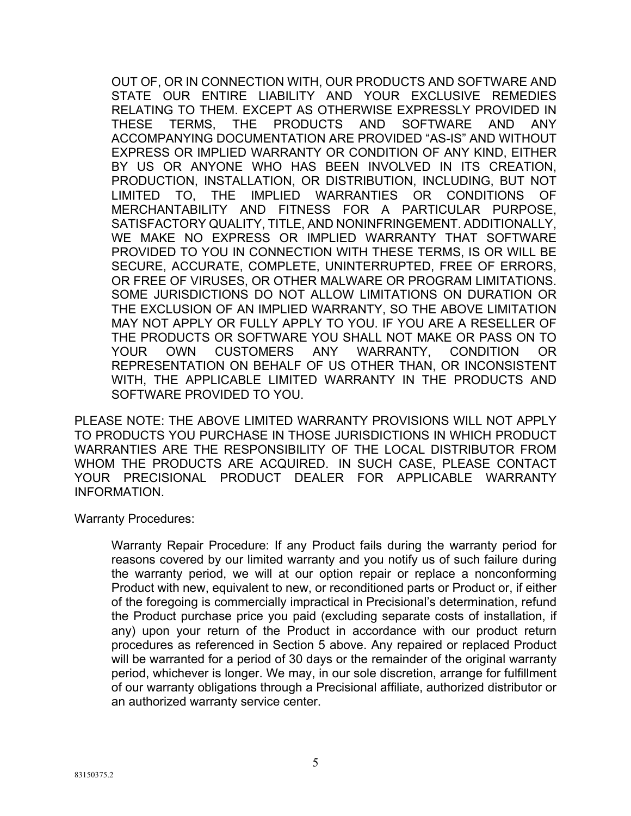OUT OF, OR IN CONNECTION WITH, OUR PRODUCTS AND SOFTWARE AND STATE OUR ENTIRE LIABILITY AND YOUR EXCLUSIVE REMEDIES RELATING TO THEM. EXCEPT AS OTHERWISE EXPRESSLY PROVIDED IN THESE TERMS, THE PRODUCTS AND SOFTWARE AND ANY ACCOMPANYING DOCUMENTATION ARE PROVIDED "AS-IS" AND WITHOUT EXPRESS OR IMPLIED WARRANTY OR CONDITION OF ANY KIND, EITHER BY US OR ANYONE WHO HAS BEEN INVOLVED IN ITS CREATION, PRODUCTION, INSTALLATION, OR DISTRIBUTION, INCLUDING, BUT NOT LIMITED TO, THE IMPLIED WARRANTIES OR CONDITIONS OF MERCHANTABILITY AND FITNESS FOR A PARTICULAR PURPOSE, SATISFACTORY QUALITY, TITLE, AND NONINFRINGEMENT. ADDITIONALLY, WE MAKE NO EXPRESS OR IMPLIED WARRANTY THAT SOFTWARE PROVIDED TO YOU IN CONNECTION WITH THESE TERMS, IS OR WILL BE SECURE, ACCURATE, COMPLETE, UNINTERRUPTED, FREE OF ERRORS, OR FREE OF VIRUSES, OR OTHER MALWARE OR PROGRAM LIMITATIONS. SOME JURISDICTIONS DO NOT ALLOW LIMITATIONS ON DURATION OR THE EXCLUSION OF AN IMPLIED WARRANTY, SO THE ABOVE LIMITATION MAY NOT APPLY OR FULLY APPLY TO YOU. IF YOU ARE A RESELLER OF THE PRODUCTS OR SOFTWARE YOU SHALL NOT MAKE OR PASS ON TO YOUR OWN CUSTOMERS ANY WARRANTY, CONDITION OR REPRESENTATION ON BEHALF OF US OTHER THAN, OR INCONSISTENT WITH, THE APPLICABLE LIMITED WARRANTY IN THE PRODUCTS AND SOFTWARE PROVIDED TO YOU.

PLEASE NOTE: THE ABOVE LIMITED WARRANTY PROVISIONS WILL NOT APPLY TO PRODUCTS YOU PURCHASE IN THOSE JURISDICTIONS IN WHICH PRODUCT WARRANTIES ARE THE RESPONSIBILITY OF THE LOCAL DISTRIBUTOR FROM WHOM THE PRODUCTS ARE ACQUIRED. IN SUCH CASE, PLEASE CONTACT YOUR PRECISIONAL PRODUCT DEALER FOR APPLICABLE WARRANTY INFORMATION.

Warranty Procedures:

Warranty Repair Procedure: If any Product fails during the warranty period for reasons covered by our limited warranty and you notify us of such failure during the warranty period, we will at our option repair or replace a nonconforming Product with new, equivalent to new, or reconditioned parts or Product or, if either of the foregoing is commercially impractical in Precisional's determination, refund the Product purchase price you paid (excluding separate costs of installation, if any) upon your return of the Product in accordance with our product return procedures as referenced in Section 5 above. Any repaired or replaced Product will be warranted for a period of 30 days or the remainder of the original warranty period, whichever is longer. We may, in our sole discretion, arrange for fulfillment of our warranty obligations through a Precisional affiliate, authorized distributor or an authorized warranty service center.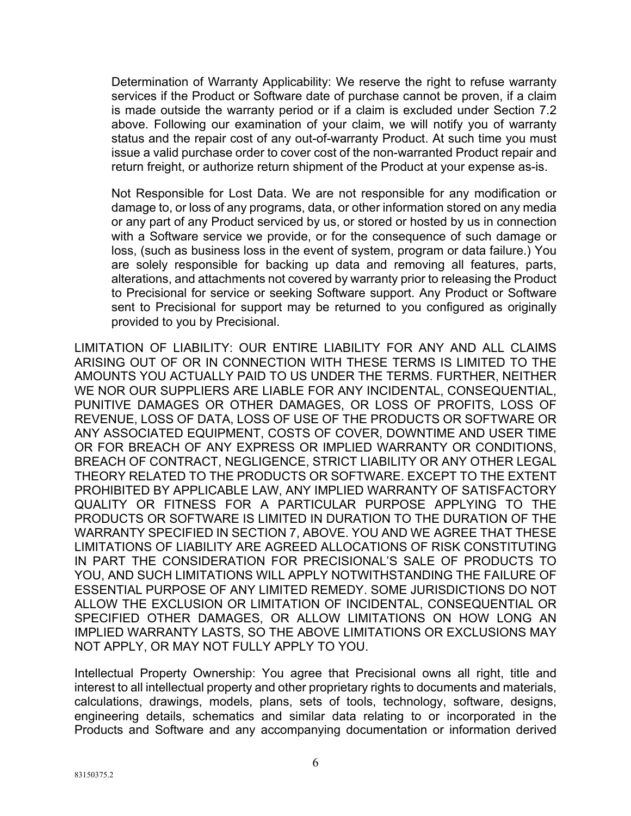Determination of Warranty Applicability: We reserve the right to refuse warranty services if the Product or Software date of purchase cannot be proven, if a claim is made outside the warranty period or if a claim is excluded under Section 7.2 above. Following our examination of your claim, we will notify you of warranty status and the repair cost of any out-of-warranty Product. At such time you must issue a valid purchase order to cover cost of the non-warranted Product repair and return freight, or authorize return shipment of the Product at your expense as-is.

Not Responsible for Lost Data. We are not responsible for any modification or damage to, or loss of any programs, data, or other information stored on any media or any part of any Product serviced by us, or stored or hosted by us in connection with a Software service we provide, or for the consequence of such damage or loss, (such as business loss in the event of system, program or data failure.) You are solely responsible for backing up data and removing all features, parts, alterations, and attachments not covered by warranty prior to releasing the Product to Precisional for service or seeking Software support. Any Product or Software sent to Precisional for support may be returned to you configured as originally provided to you by Precisional.

LIMITATION OF LIABILITY: OUR ENTIRE LIABILITY FOR ANY AND ALL CLAIMS ARISING OUT OF OR IN CONNECTION WITH THESE TERMS IS LIMITED TO THE AMOUNTS YOU ACTUALLY PAID TO US UNDER THE TERMS. FURTHER, NEITHER WE NOR OUR SUPPLIERS ARE LIABLE FOR ANY INCIDENTAL, CONSEQUENTIAL, PUNITIVE DAMAGES OR OTHER DAMAGES, OR LOSS OF PROFITS, LOSS OF REVENUE, LOSS OF DATA, LOSS OF USE OF THE PRODUCTS OR SOFTWARE OR ANY ASSOCIATED EQUIPMENT, COSTS OF COVER, DOWNTIME AND USER TIME OR FOR BREACH OF ANY EXPRESS OR IMPLIED WARRANTY OR CONDITIONS, BREACH OF CONTRACT, NEGLIGENCE, STRICT LIABILITY OR ANY OTHER LEGAL THEORY RELATED TO THE PRODUCTS OR SOFTWARE. EXCEPT TO THE EXTENT PROHIBITED BY APPLICABLE LAW, ANY IMPLIED WARRANTY OF SATISFACTORY QUALITY OR FITNESS FOR A PARTICULAR PURPOSE APPLYING TO THE PRODUCTS OR SOFTWARE IS LIMITED IN DURATION TO THE DURATION OF THE WARRANTY SPECIFIED IN SECTION 7, ABOVE. YOU AND WE AGREE THAT THESE LIMITATIONS OF LIABILITY ARE AGREED ALLOCATIONS OF RISK CONSTITUTING IN PART THE CONSIDERATION FOR PRECISIONAL'S SALE OF PRODUCTS TO YOU, AND SUCH LIMITATIONS WILL APPLY NOTWITHSTANDING THE FAILURE OF ESSENTIAL PURPOSE OF ANY LIMITED REMEDY. SOME JURISDICTIONS DO NOT ALLOW THE EXCLUSION OR LIMITATION OF INCIDENTAL, CONSEQUENTIAL OR SPECIFIED OTHER DAMAGES, OR ALLOW LIMITATIONS ON HOW LONG AN IMPLIED WARRANTY LASTS, SO THE ABOVE LIMITATIONS OR EXCLUSIONS MAY NOT APPLY, OR MAY NOT FULLY APPLY TO YOU.

Intellectual Property Ownership: You agree that Precisional owns all right, title and interest to all intellectual property and other proprietary rights to documents and materials, calculations, drawings, models, plans, sets of tools, technology, software, designs, engineering details, schematics and similar data relating to or incorporated in the Products and Software and any accompanying documentation or information derived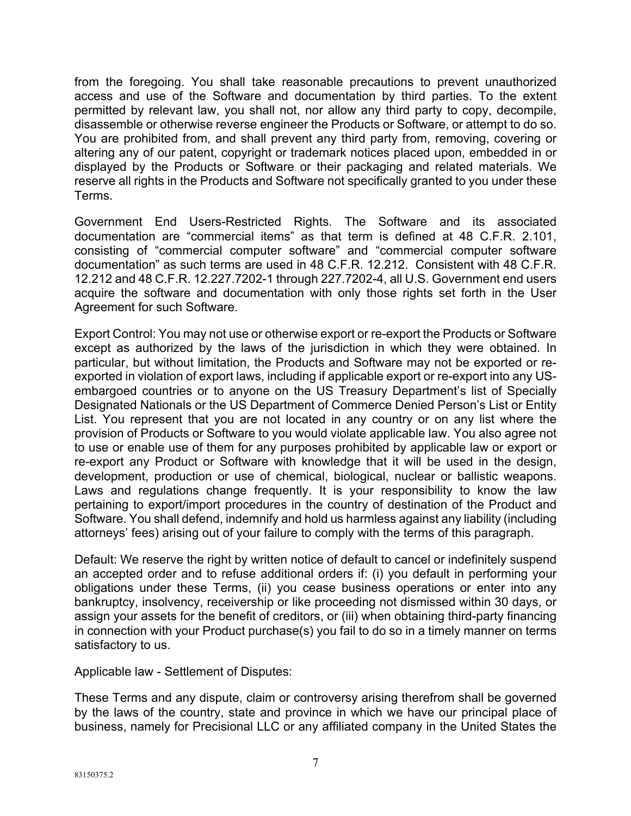from the foregoing. You shall take reasonable precautions to prevent unauthorized access and use of the Software and documentation by third parties. To the extent permitted by relevant law, you shall not, nor allow any third party to copy, decompile, disassemble or otherwise reverse engineer the Products or Software, or attempt to do so. You are prohibited from, and shall prevent any third party from, removing, covering or altering any of our patent, copyright or trademark notices placed upon, embedded in or displayed by the Products or Software or their packaging and related materials. We reserve all rights in the Products and Software not specifically granted to you under these Terms.

Government End Users-Restricted Rights. The Software and its associated documentation are "commercial items" as that term is defined at 48 C.F.R. 2.101, consisting of "commercial computer software" and "commercial computer software documentation" as such terms are used in 48 C.F.R. 12.212. Consistent with 48 C.F.R. 12.212 and 48 C.F.R. 12.227.7202-1 through 227.7202-4, all U.S. Government end users acquire the software and documentation with only those rights set forth in the User Agreement for such Software.

Export Control: You may not use or otherwise export or re-export the Products or Software except as authorized by the laws of the jurisdiction in which they were obtained. In particular, but without limitation, the Products and Software may not be exported or reexported in violation of export laws, including if applicable export or re-export into any USembargoed countries or to anyone on the US Treasury Department's list of Specially Designated Nationals or the US Department of Commerce Denied Person's List or Entity List. You represent that you are not located in any country or on any list where the provision of Products or Software to you would violate applicable law. You also agree not to use or enable use of them for any purposes prohibited by applicable law or export or re-export any Product or Software with knowledge that it will be used in the design, development, production or use of chemical, biological, nuclear or ballistic weapons. Laws and regulations change frequently. It is your responsibility to know the law pertaining to export/import procedures in the country of destination of the Product and Software. You shall defend, indemnify and hold us harmless against any liability (including attorneys' fees) arising out of your failure to comply with the terms of this paragraph.

Default: We reserve the right by written notice of default to cancel or indefinitely suspend an accepted order and to refuse additional orders if: (i) you default in performing your obligations under these Terms, (ii) you cease business operations or enter into any bankruptcy, insolvency, receivership or like proceeding not dismissed within 30 days, or assign your assets for the benefit of creditors, or (iii) when obtaining third-party financing in connection with your Product purchase(s) you fail to do so in a timely manner on terms satisfactory to us.

Applicable law - Settlement of Disputes:

These Terms and any dispute, claim or controversy arising therefrom shall be governed by the laws of the country, state and province in which we have our principal place of business, namely for Precisional LLC or any affiliated company in the United States the